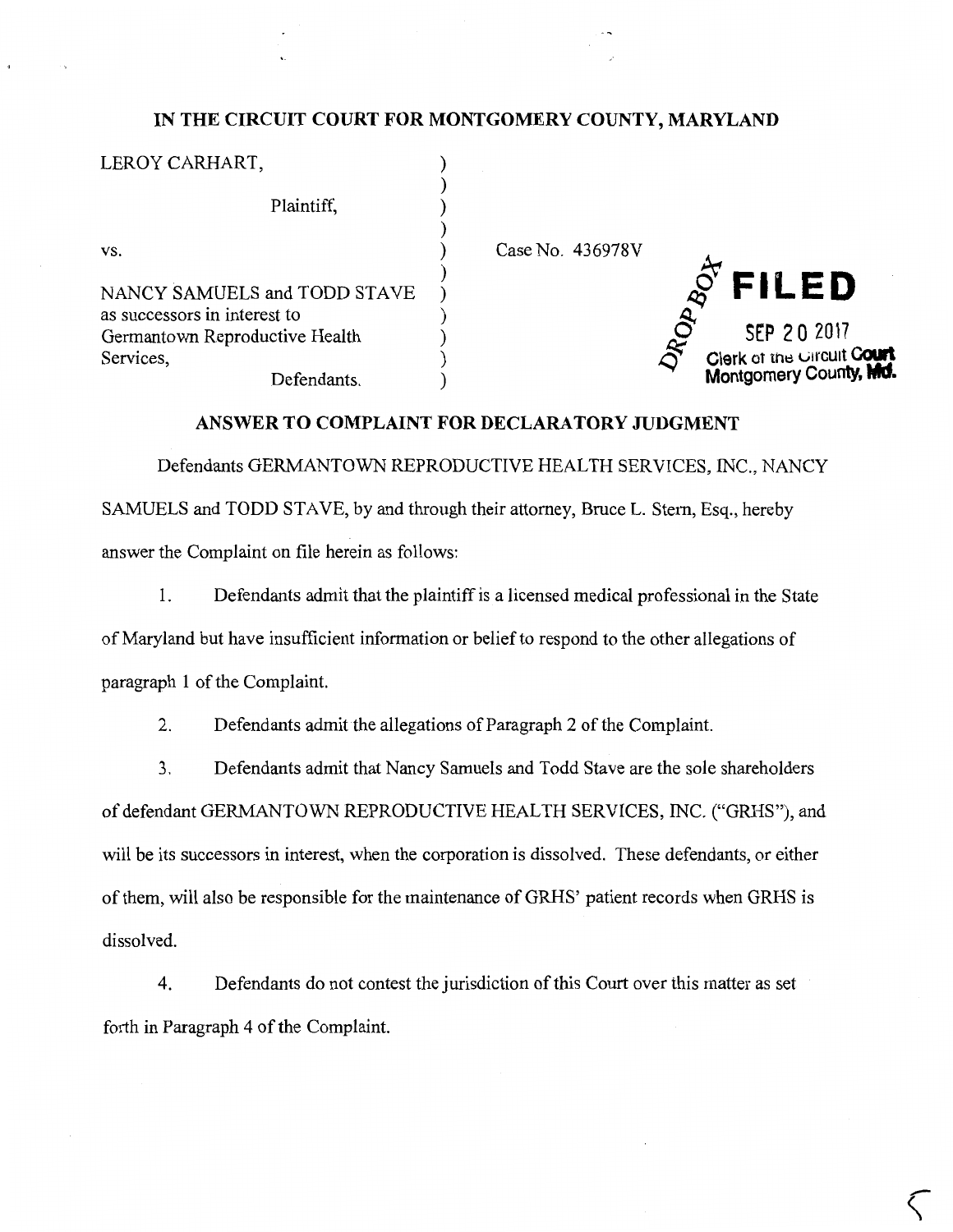## **IN THE CIRCUIT COURT FOR MONTGOMERY COUNTY, MARYLAND**

| Case No. 436978V                                     |
|------------------------------------------------------|
| <b>FILED</b>                                         |
| SEP 20 2017                                          |
| Clerk of the Circuit Court<br>Montgomery County, Md. |
|                                                      |

## **ANSWER TO COMPLAINT FOR DECLARATORY JUDGMENT**

Defendants GERMANTOWN REPRODUCTIVE HEALTH SERVICES, INC., NANCY SAMUELS and TODD STAVE, by and through their attorney, Bruce L. Stern, Esq., hereby answer the Complaint on file herein as follows:

1. Defendants admit that the plaintiff is a licensed medical professional in the State of Maryland but have insufficient information or belief to respond to the other allegations of paragraph **1** of the Complaint.

2. Defendants admit the allegations of Paragraph 2 of the Complaint.

3. Defendants admit that Nancy Samuels and Todd Stave are the sole shareholders of defendant GERMANTOWN REPRODUCTIVE HEALTH SERVICES, INC. ("GRHS"), and will be its successors in interest, when the corporation is dissolved. These defendants, or either of them, will also be responsible for the maintenance of GRHS' patient records when GRHS is dissolved.

4. Defendants do not contest the jurisdiction of this Court over this matter as set forth in Paragraph 4 of the Complaint.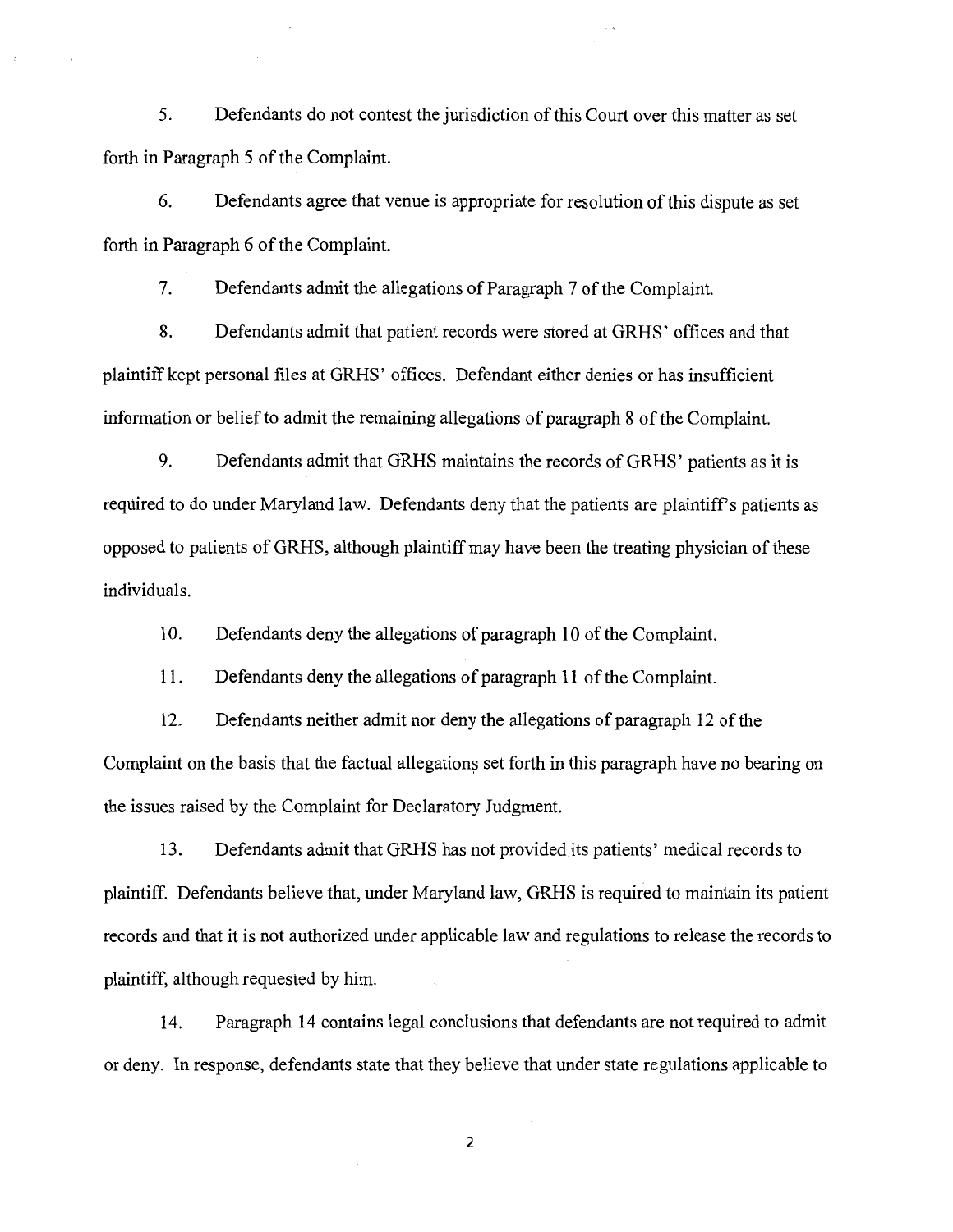5. Defendants do not contest the jurisdiction of this Court over this matter as set forth in Paragraph 5 of the Complaint.

6. Defendants agree that venue is appropriate for resolution of this dispute as set forth in Paragraph 6 of the Complaint.

7. Defendants admit the allegations of Paragraph 7 of the Complaint.

8. Defendants admit that patient records were stored at GRHS' offices and that plaintiff kept personal files at GRHS' offices. Defendant either denies or has insufficient information or belief to admit the remaining allegations of paragraph 8 of the Complaint.

9. Defendants admit that GRHS maintains the records of GRHS' patients as it is required to do under Maryland law. Defendants deny that the patients are plaintiff's patients as opposed to patients of GRHS, although plaintiff may have been the treating physician of these individuals.

10. Defendants deny the allegations of paragraph 10 of the Complaint.

11. Defendants deny the allegations of paragraph 11 ofthe Complaint.

12. Defendants neither admit nor deny the allegations of paragraph 12 of the Complaint on the basis that the factual allegations set forth in this paragraph have no bearing on the issues raised by the Complaint for Declaratory Judgment.

13. Defendants admit that GRHS has not provided its patients' medical records to plaintiff. Defendants believe that, under Maryland law, GRHS is required to maintain its patient records and that it is not authorized under applicable law and regulations to release the records to plaintiff, although requested by him.

14. Paragraph 14 contains legal conclusions that defendants are not required to admit or deny. In response, defendants state that they believe that under state regulations applicable to

2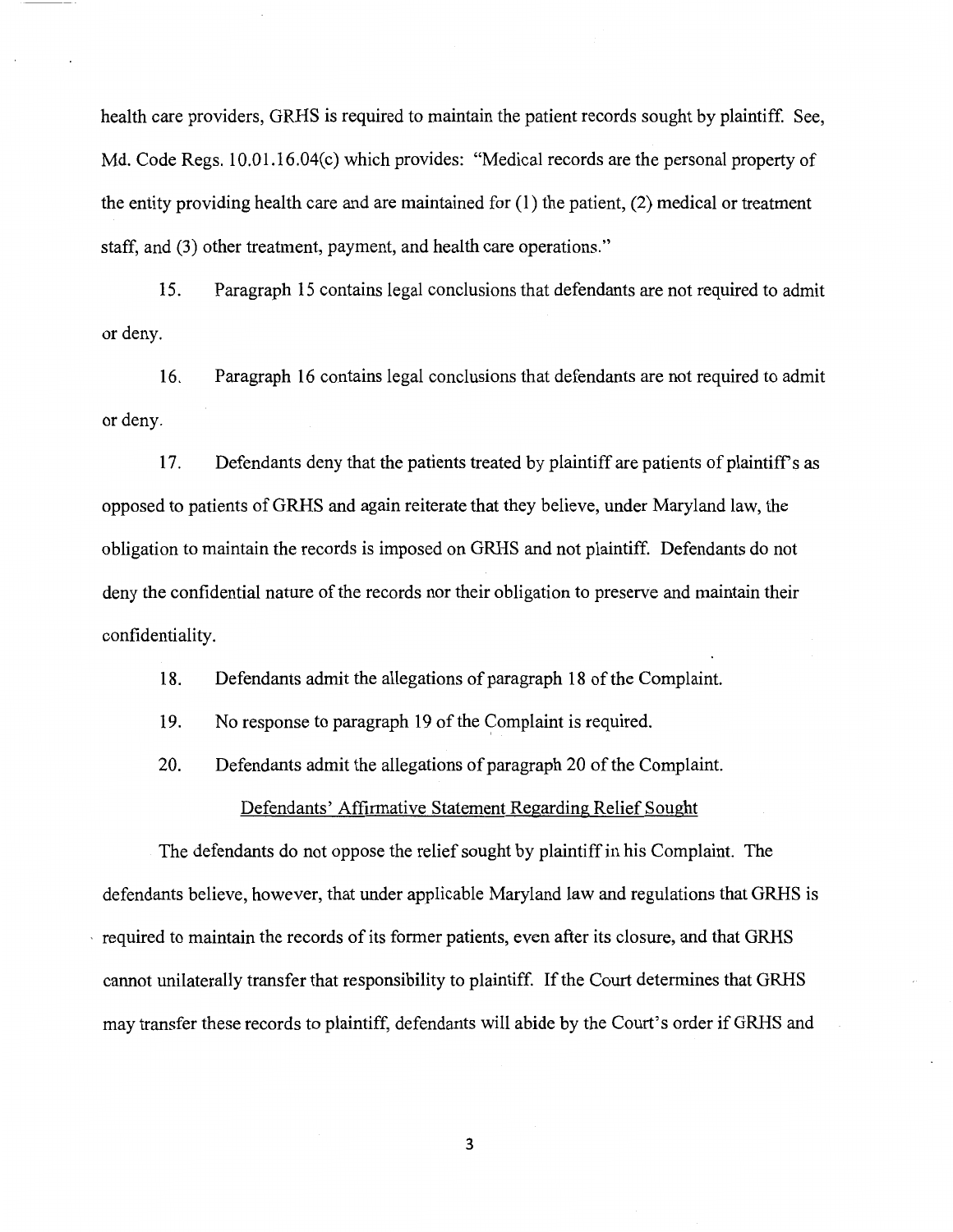health care providers, GRHS is required to maintain the patient records sought by plaintiff. See, Md. Code Regs. 10.01.16.04(c) which provides: "Medical records are the personal property of the entity providing health care and are maintained for (1) the patient, (2) medical or treatment staff, and (3) other treatment, payment, and health care operations."

15. Paragraph 15 contains legal conclusions that defendants are not required to admit or deny.

16. Paragraph 16 contains legal conclusions that defendants are not required to admit or deny.

17. Defendants deny that the patients treated by plaintiff are patients of plaintiff's as opposed to patients ofGRHS and again reiterate that they believe, under Maryland law, the obligation to maintain the records is imposed on GRHS and not plaintiff. Defendants do not deny the confidential nature of the records nor their obligation to preserve and maintain their confidentiality.

18. Defendants admit the allegations of paragraph 18 of the Complaint.

19. No response to paragraph 19 of the Complaint is required.

20. Defendants admit the allegations of paragraph 20 of the Complaint.

Defendants' Affirmative Statement Regarding Relief Sought

The defendants do not oppose the relief sought by plaintiff in his Complaint. The defendants believe, however, that under applicable Maryland law and regulations that GRHS is · required to maintain the records of its former patients, even after its closure, and that GRHS cannot unilaterally transfer that responsibility to plaintiff. If the Court determines that GRHS may transfer these records to plaintiff, defendants will abide by the Court's order if GRHS and

3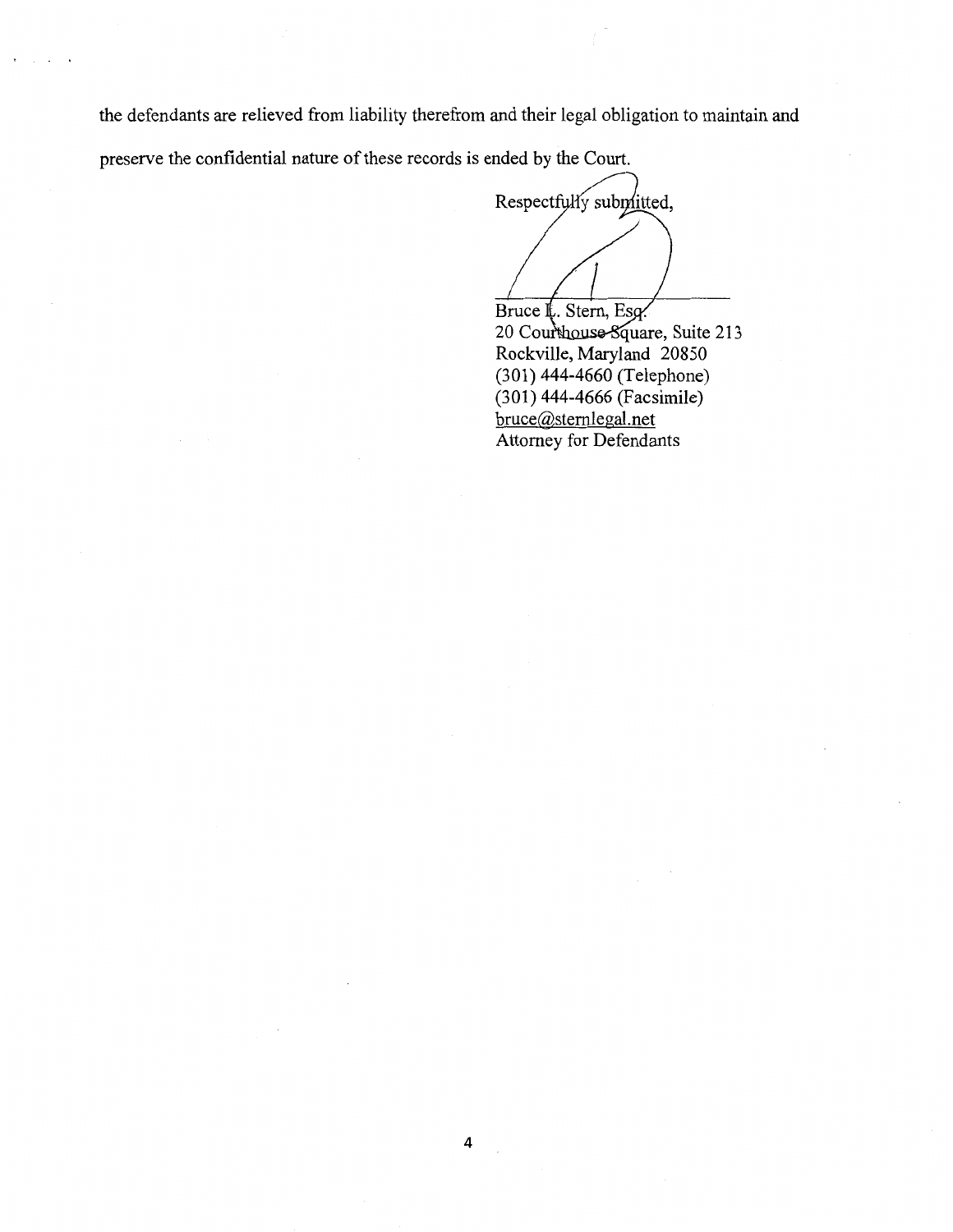the defendants are relieved from liability therefrom and their legal obligation to maintain and preserve the confidential nature of these records is ended by the Court.

Respectfully submitted, Bruce L. Stern, Esg.

20 Courthouse Square, Suite 213 Rockville, Maryland 20850 (301) 444-4660 (Telephone) (301) 444-4666 (Facsimile) bruce@sternlegal.net Attorney for Defendants